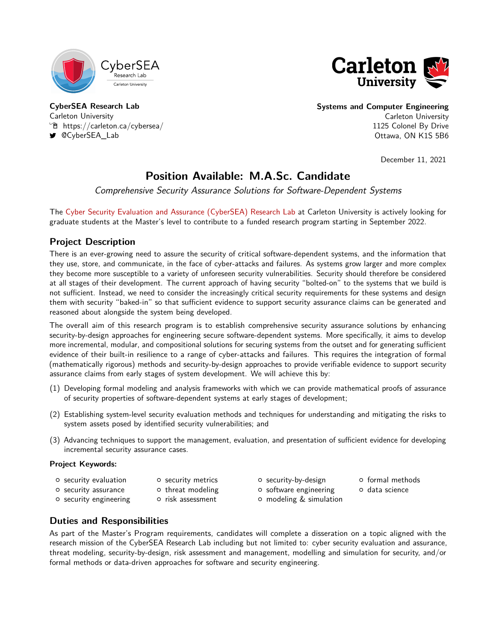<span id="page-0-0"></span>



**CyberSEA Research Lab** Carleton University  $\mathcal{F}$  <https://carleton.ca/cybersea/> [@CyberSEA\\_Lab](https://twitter.com/CyberSEA_Lab)

**Systems and Computer Engineering** Carleton University

1125 Colonel By Drive Ottawa, ON K1S 5B6

December 11, 2021

# **Position Available: M.A.Sc. Candidate**

Comprehensive Security Assurance Solutions for Software-Dependent Systems

The [Cyber Security Evaluation and Assurance \(CyberSEA\) Research Lab](https://carleton.ca/cybersea/) at Carleton University is actively looking for graduate students at the Master's level to contribute to a funded research program starting in September 2022.

## **Project Description**

There is an ever-growing need to assure the security of critical software-dependent systems, and the information that they use, store, and communicate, in the face of cyber-attacks and failures. As systems grow larger and more complex they become more susceptible to a variety of unforeseen security vulnerabilities. Security should therefore be considered at all stages of their development. The current approach of having security "bolted-on" to the systems that we build is not sufficient. Instead, we need to consider the increasingly critical security requirements for these systems and design them with security "baked-in" so that sufficient evidence to support security assurance claims can be generated and reasoned about alongside the system being developed.

The overall aim of this research program is to establish comprehensive security assurance solutions by enhancing security-by-design approaches for engineering secure software-dependent systems. More specifically, it aims to develop more incremental, modular, and compositional solutions for securing systems from the outset and for generating sufficient evidence of their built-in resilience to a range of cyber-attacks and failures. This requires the integration of formal (mathematically rigorous) methods and security-by-design approaches to provide verifiable evidence to support security assurance claims from early stages of system development. We will achieve this by:

- (1) Developing formal modeling and analysis frameworks with which we can provide mathematical proofs of assurance of security properties of software-dependent systems at early stages of development;
- (2) Establishing system-level security evaluation methods and techniques for understanding and mitigating the risks to system assets posed by identified security vulnerabilities; and
- (3) Advancing techniques to support the management, evaluation, and presentation of sufficient evidence for developing incremental security assurance cases.

#### **Project Keywords:**

{ security assurance

- $\circ$  security evaluation o security metrics
	- o threat modeling
- { security-by-design
- { software engineering
- { modeling & simulation
- { formal methods
- { data science
- { security engineering
- { risk assessment
	-
- 

## **Duties and Responsibilities**

As part of the Master's Program requirements, candidates will complete a disseration on a topic aligned with the research mission of the CyberSEA Research Lab including but not limited to: cyber security evaluation and assurance, threat modeling, security-by-design, risk assessment and management, modelling and simulation for security, and/or formal methods or data-driven approaches for software and security engineering.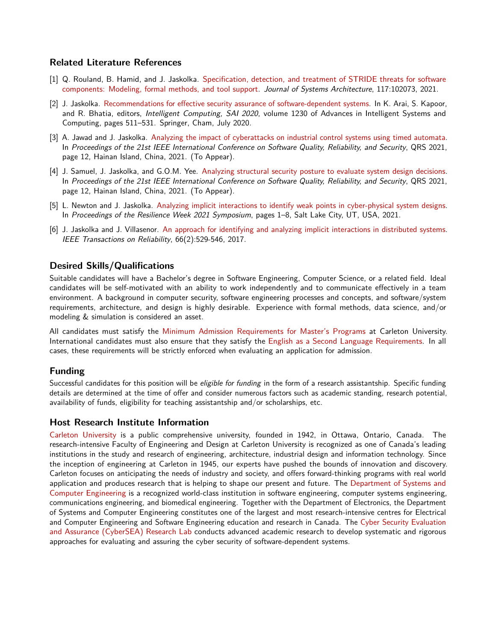#### **Related Literature References**

- [1] Q. Rouland, B. Hamid, and J. Jaskolka. [Specification, detection, and treatment of STRIDE threats for software](https://doi.org/10.1016/j.sysarc.2021.102073) [components: Modeling, formal methods, and tool support.](https://doi.org/10.1016/j.sysarc.2021.102073) Journal of Systems Architecture, 117:102073, 2021.
- [2] J. Jaskolka. [Recommendations for effective security assurance of software-dependent systems.](https://doi.org/10.1007/978-3-030-52243-8_37) In K. Arai, S. Kapoor, and R. Bhatia, editors, *Intelligent Computing, SAI 2020*, volume 1230 of Advances in Intelligent Systems and Computing, pages 511–531. Springer, Cham, July 2020.
- [3] A. Jawad and J. Jaskolka. [Analyzing the impact of cyberattacks on industrial control systems using timed automata.](#page-0-0) In Proceedings of the 21st IEEE International Conference on Software Quality, Reliability, and Security, QRS 2021, page 12, Hainan Island, China, 2021. (To Appear).
- [4] J. Samuel, J. Jaskolka, and G.O.M. Yee. [Analyzing structural security posture to evaluate system design decisions.](#page-0-0) In Proceedings of the 21st IEEE International Conference on Software Quality, Reliability, and Security, QRS 2021, page 12, Hainan Island, China, 2021. (To Appear).
- [5] L. Newton and J. Jaskolka. [Analyzing implicit interactions to identify weak points in cyber-physical system designs.](https://doi.org/10.1109/RWS52686.2021.9611810) In Proceedings of the Resilience Week 2021 Symposium, pages 1–8, Salt Lake City, UT, USA, 2021.
- [6] J. Jaskolka and J. Villasenor. [An approach for identifying and analyzing implicit interactions in distributed systems.](https://doi.org/10.1109/TR.2017.2665164) IEEE Transactions on Reliability, 66(2):529-546, 2017.

#### **Desired Skills/Qualifications**

Suitable candidates will have a Bachelor's degree in Software Engineering, Computer Science, or a related field. Ideal candidates will be self-motivated with an ability to work independently and to communicate effectively in a team environment. A background in computer security, software engineering processes and concepts, and software/system requirements, architecture, and design is highly desirable. Experience with formal methods, data science, and/or modeling & simulation is considered an asset.

All candidates must satisfy the [Minimum Admission Requirements for Master's Programs](https://graduate.carleton.ca/apply-online/minimum-requirements/) at Carleton University. International candidates must also ensure that they satisfy the [English as a Second Language Requirements.](https://graduate.carleton.ca/international/english-second-language/) In all cases, these requirements will be strictly enforced when evaluating an application for admission.

#### **Funding**

Successful candidates for this position will be eligible for funding in the form of a research assistantship. Specific funding details are determined at the time of offer and consider numerous factors such as academic standing, research potential, availability of funds, eligibility for teaching assistantship and/or scholarships, etc.

#### **Host Research Institute Information**

[Carleton University](https://carleton.ca/) is a public comprehensive university, founded in 1942, in Ottawa, Ontario, Canada. The research-intensive Faculty of Engineering and Design at Carleton University is recognized as one of Canada's leading institutions in the study and research of engineering, architecture, industrial design and information technology. Since the inception of engineering at Carleton in 1945, our experts have pushed the bounds of innovation and discovery. Carleton focuses on anticipating the needs of industry and society, and offers forward-thinking programs with real world application and produces research that is helping to shape our present and future. The [Department of Systems and](https://carleton.ca/sce/) [Computer Engineering](https://carleton.ca/sce/) is a recognized world-class institution in software engineering, computer systems engineering, communications engineering, and biomedical engineering. Together with the Department of Electronics, the Department of Systems and Computer Engineering constitutes one of the largest and most research-intensive centres for Electrical and Computer Engineering and Software Engineering education and research in Canada. The [Cyber Security Evaluation](https://carleton.ca/cybersea/) [and Assurance \(CyberSEA\) Research Lab](https://carleton.ca/cybersea/) conducts advanced academic research to develop systematic and rigorous approaches for evaluating and assuring the cyber security of software-dependent systems.